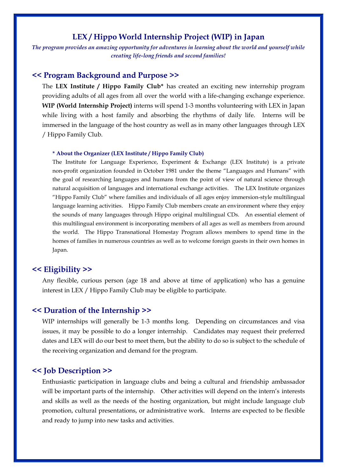### **LEX / Hippo World Internship Project (WIP) in Japan**

*The program provides an amazing opportunity for adventures in learning about the world and yourself while creating life-long friends and second families!*

#### **<< Program Background and Purpose >>**

The **LEX Institute / Hippo Family Club\*** has created an exciting new internship program providing adults of all ages from all over the world with a life-changing exchange experience. **WIP (World Internship Project)** interns will spend 1-3 months volunteering with LEX in Japan while living with a host family and absorbing the rhythms of daily life. Interns will be immersed in the language of the host country as well as in many other languages through LEX / Hippo Family Club.

#### **\* About the Organizer (LEX Institute / Hippo Family Club)**

The Institute for Language Experience, Experiment & Exchange (LEX Institute) is a private non-profit organization founded in October 1981 under the theme "Languages and Humans" with the goal of researching languages and humans from the point of view of natural science through natural acquisition of languages and international exchange activities. The LEX Institute organizes "Hippo Family Club" where families and individuals of all ages enjoy immersion-style multilingual language learning activities. Hippo Family Club members create an environment where they enjoy the sounds of many languages through Hippo original multilingual CDs. An essential element of this multilingual environment is incorporating members of all ages as well as members from around the world. The Hippo Transnational Homestay Program allows members to spend time in the homes of families in numerous countries as well as to welcome foreign guests in their own homes in Japan.

#### **<< Eligibility >>**

Any flexible, curious person (age 18 and above at time of application) who has a genuine interest in LEX / Hippo Family Club may be eligible to participate.

#### **<< Duration of the Internship >>**

WIP internships will generally be 1-3 months long. Depending on circumstances and visa issues, it may be possible to do a longer internship. Candidates may request their preferred dates and LEX will do our best to meet them, but the ability to do so is subject to the schedule of the receiving organization and demand for the program.

#### **<< Job Description >>**

Enthusiastic participation in language clubs and being a cultural and friendship ambassador will be important parts of the internship. Other activities will depend on the intern's interests and skills as well as the needs of the hosting organization, but might include language club promotion, cultural presentations, or administrative work. Interns are expected to be flexible and ready to jump into new tasks and activities.